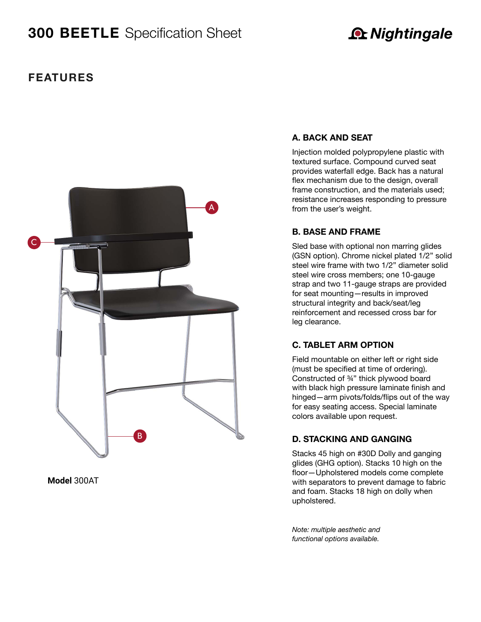# **300 BEETLE** Specification Sheet

# **A** Nightingale

## **features**



**Model** 300AT

#### **A. BACK AND SEAT**

Injection molded polypropylene plastic with textured surface. Compound curved seat provides waterfall edge. Back has a natural flex mechanism due to the design, overall frame construction, and the materials used; resistance increases responding to pressure from the user's weight.

#### **B. BASE AND FRAME**

Sled base with optional non marring glides (GSN option). Chrome nickel plated 1/2" solid steel wire frame with two 1/2" diameter solid steel wire cross members; one 10-gauge strap and two 11-gauge straps are provided for seat mounting—results in improved structural integrity and back/seat/leg reinforcement and recessed cross bar for leg clearance.

#### **C. TABLET ARM OPTION**

Field mountable on either left or right side (must be specified at time of ordering). Constructed of ¾" thick plywood board with black high pressure laminate finish and hinged—arm pivots/folds/flips out of the way for easy seating access. Special laminate colors available upon request.

#### **D. STACKING AND GANGING**

Stacks 45 high on #30D Dolly and ganging glides (GHG option). Stacks 10 high on the floor—Upholstered models come complete with separators to prevent damage to fabric and foam. Stacks 18 high on dolly when upholstered.

*Note: multiple aesthetic and functional options available.*